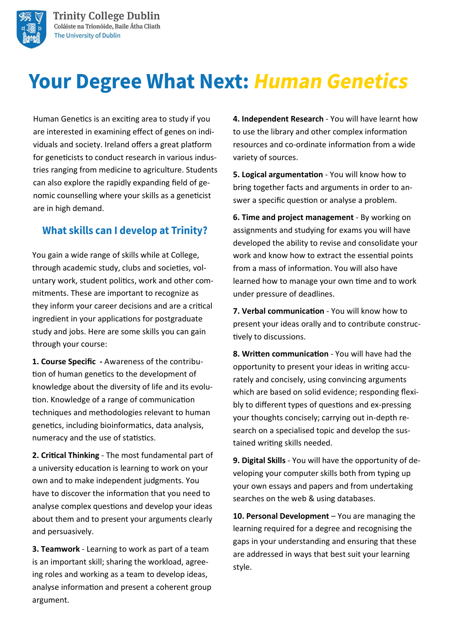

Human Genetics is an exciting area to study if you are interested in examining effect of genes on individuals and society. Ireland offers a great platform for geneticists to conduct research in various industries ranging from medicine to agriculture. Students can also explore the rapidly expanding field of genomic counselling where your skills as a geneticist are in high demand.

#### **What skills can I develop at Trinity?**

You gain a wide range of skills while at College, through academic study, clubs and societies, voluntary work, student politics, work and other commitments. These are important to recognize as they inform your career decisions and are a critical ingredient in your applications for postgraduate study and jobs. Here are some skills you can gain through your course:

**1. Course Specific -** Awareness of the contribution of human genetics to the development of knowledge about the diversity of life and its evolution. Knowledge of a range of communication techniques and methodologies relevant to human genetics, including bioinformatics, data analysis, numeracy and the use of statistics.

**2. Critical Thinking** - The most fundamental part of a university education is learning to work on your own and to make independent judgments. You have to discover the information that you need to analyse complex questions and develop your ideas about them and to present your arguments clearly and persuasively.

**3. Teamwork** - Learning to work as part of a team is an important skill; sharing the workload, agreeing roles and working as a team to develop ideas, analyse information and present a coherent group argument.

**4. Independent Research** - You will have learnt how to use the library and other complex information resources and co-ordinate information from a wide variety of sources.

**5. Logical argumentation** - You will know how to bring together facts and arguments in order to answer a specific question or analyse a problem.

**6. Time and project management** - By working on assignments and studying for exams you will have developed the ability to revise and consolidate your work and know how to extract the essential points from a mass of information. You will also have learned how to manage your own time and to work under pressure of deadlines.

**7. Verbal communication** - You will know how to present your ideas orally and to contribute constructively to discussions.

**8. Written communication** - You will have had the opportunity to present your ideas in writing accurately and concisely, using convincing arguments which are based on solid evidence; responding flexibly to different types of questions and ex-pressing your thoughts concisely; carrying out in-depth research on a specialised topic and develop the sustained writing skills needed.

**9. Digital Skills** - You will have the opportunity of developing your computer skills both from typing up your own essays and papers and from undertaking searches on the web & using databases.

**10. Personal Development** – You are managing the learning required for a degree and recognising the gaps in your understanding and ensuring that these are addressed in ways that best suit your learning style.